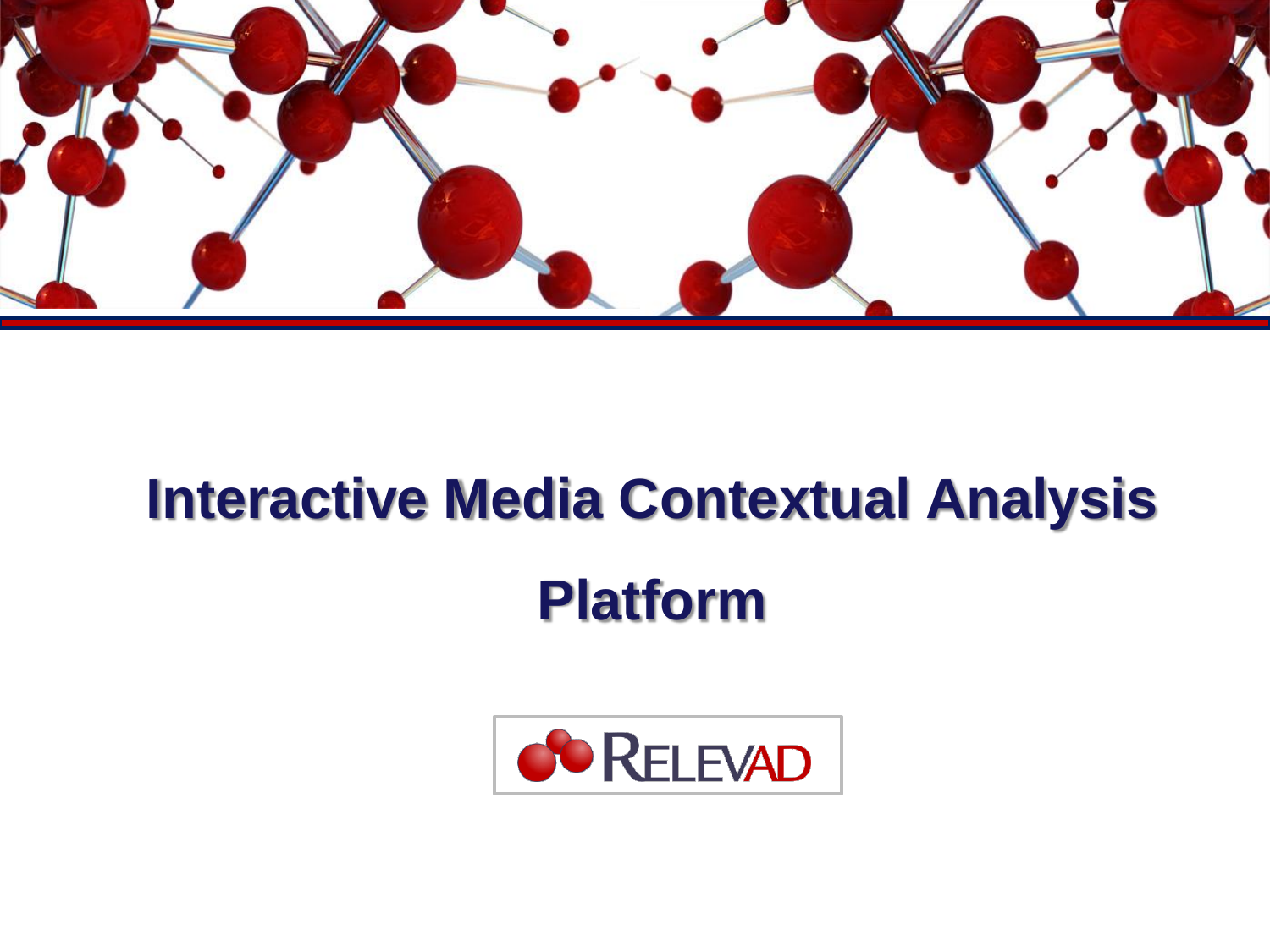

# **Interactive Media Contextual Analysis Platform**

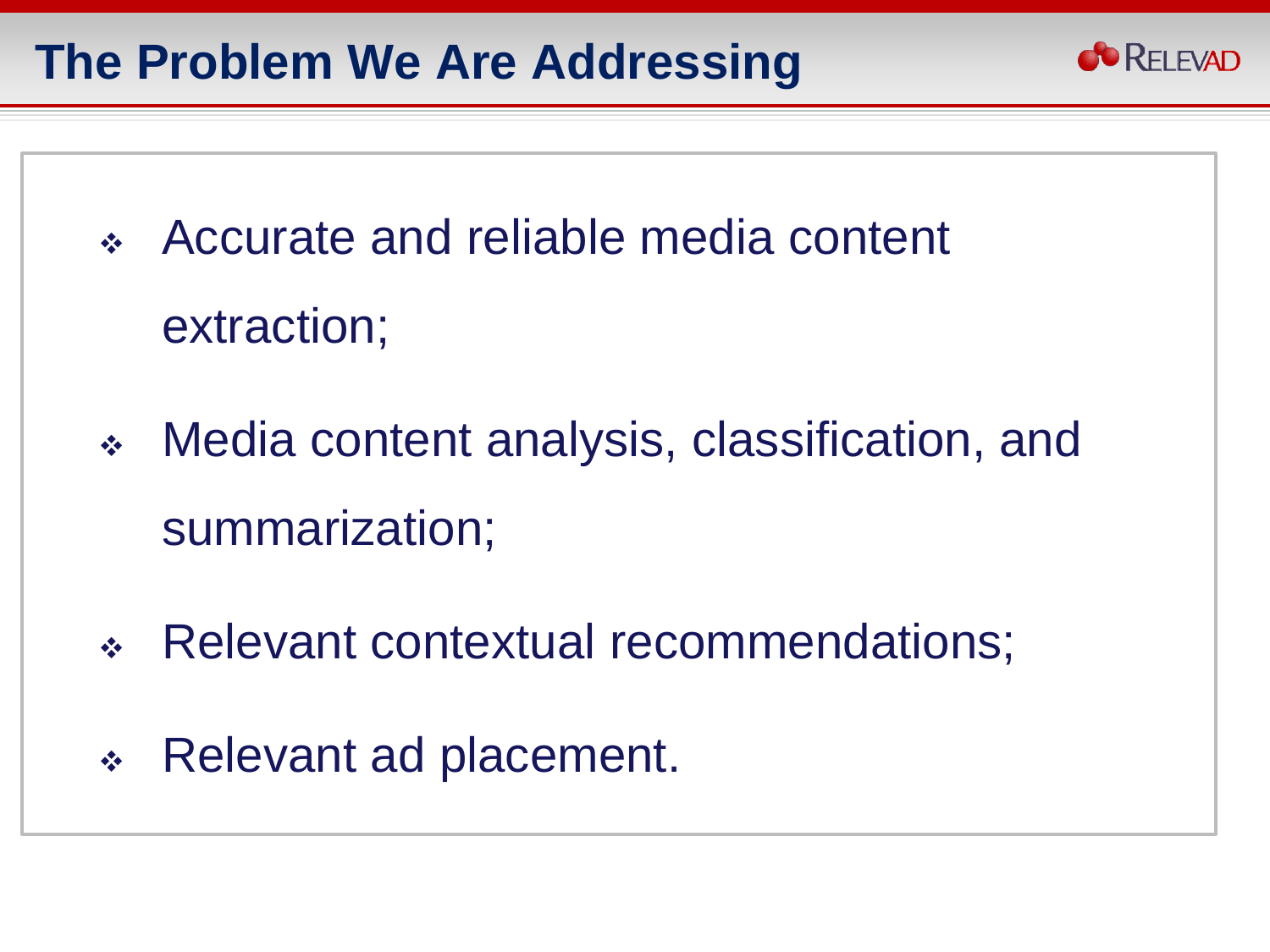## **The Problem We Are Addressing**



- Accurate and reliable media content extraction;
- Media content analysis, classification, and summarization;
- Relevant contextual recommendations;
- Relevant ad placement.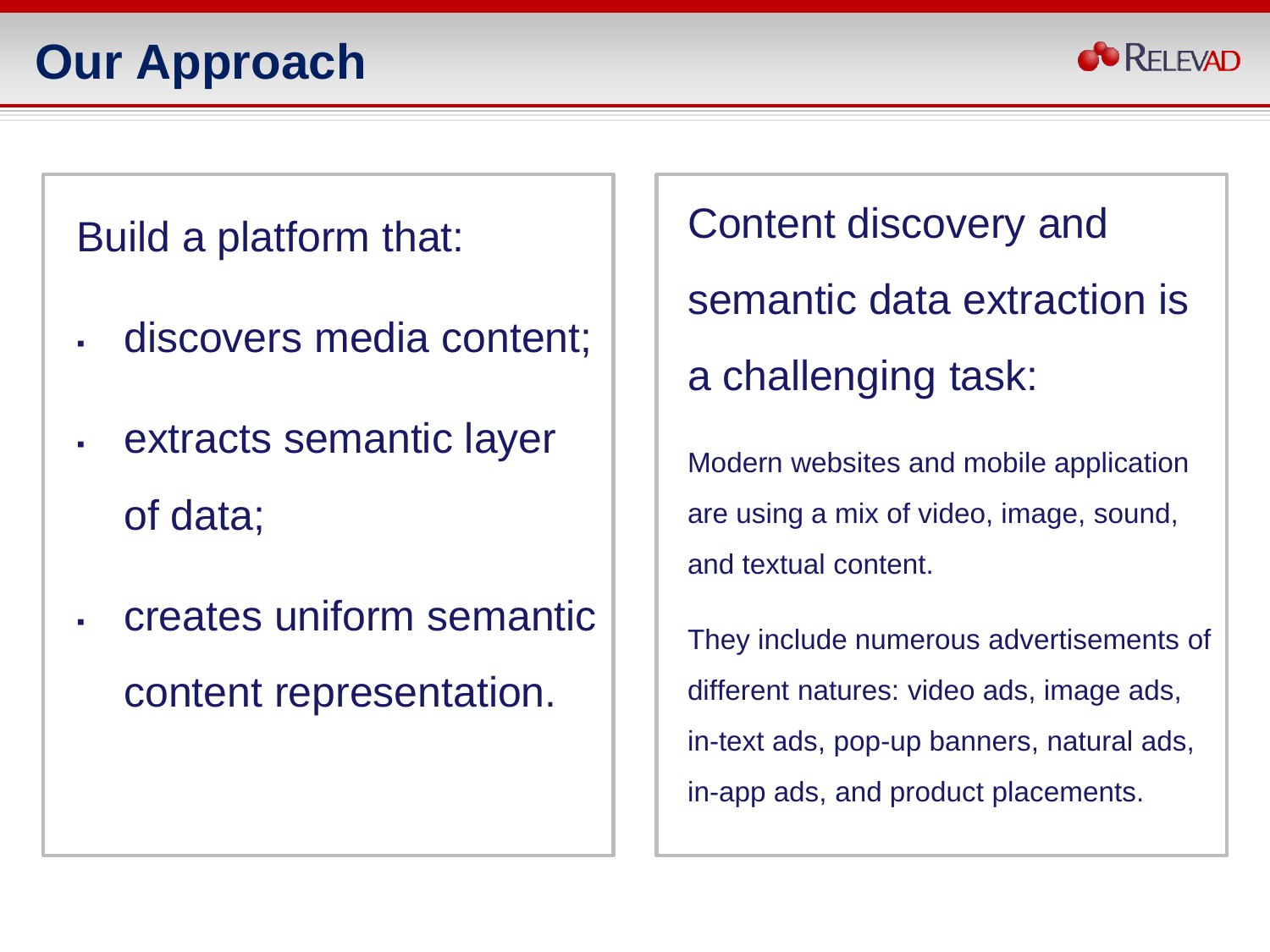

#### Build a platform that:

- discovers media content;
- extracts semantic layer of data;
- **Example 2 creates uniform semantic** content representation.

Content discovery and semantic data extraction is a challenging task:

Modern websites and mobile application are using a mix of video, image, sound, and textual content.

They include numerous advertisements of different natures: video ads, image ads, in-text ads, pop-up banners, natural ads, in-app ads, and product placements.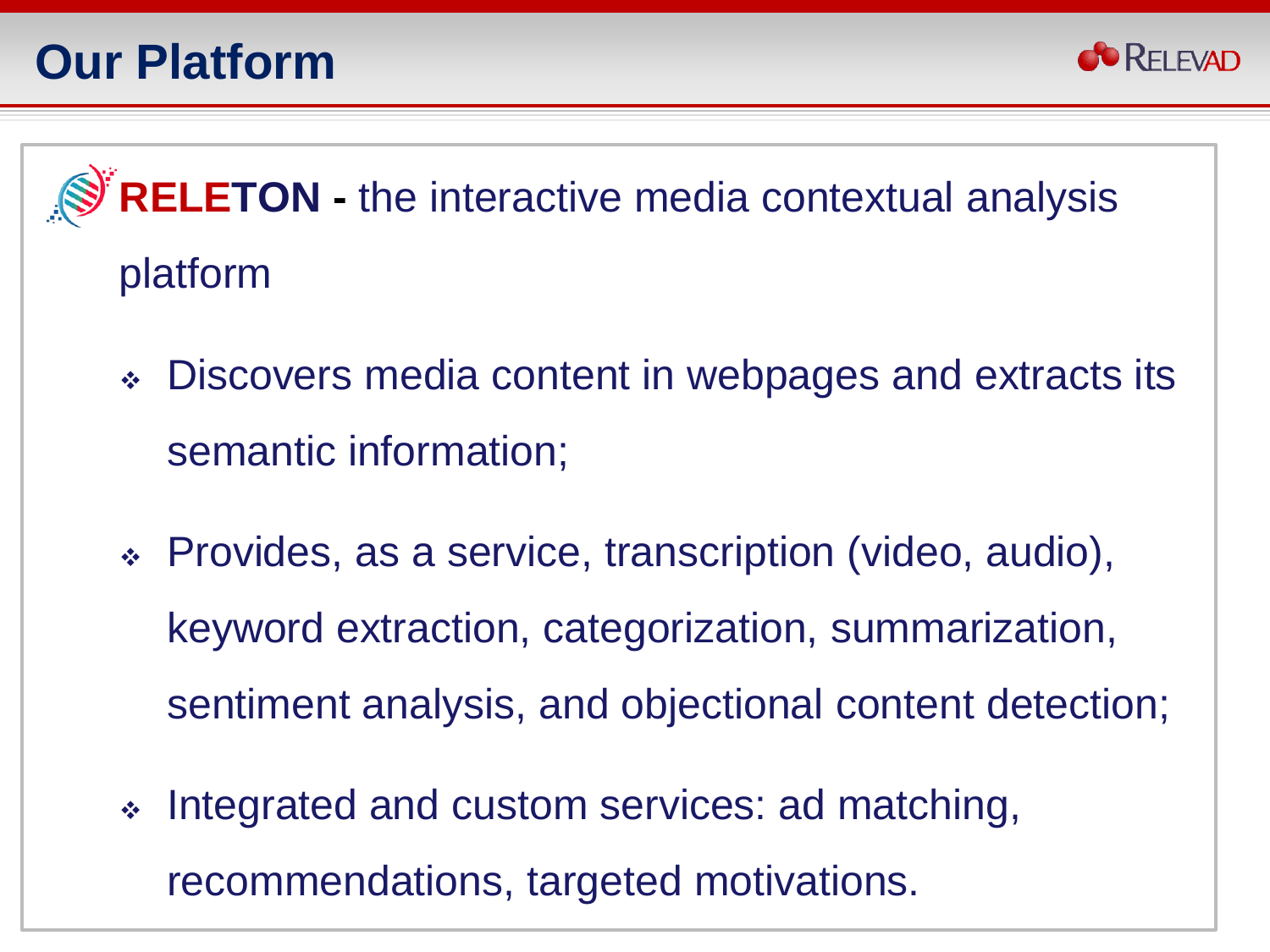

**RELETON -** the interactive media contextual analysis platform

- Discovers media content in webpages and extracts its semantic information;
- Provides, as a service, transcription (video, audio), keyword extraction, categorization, summarization, sentiment analysis, and objectional content detection;
- Integrated and custom services: ad matching, recommendations, targeted motivations.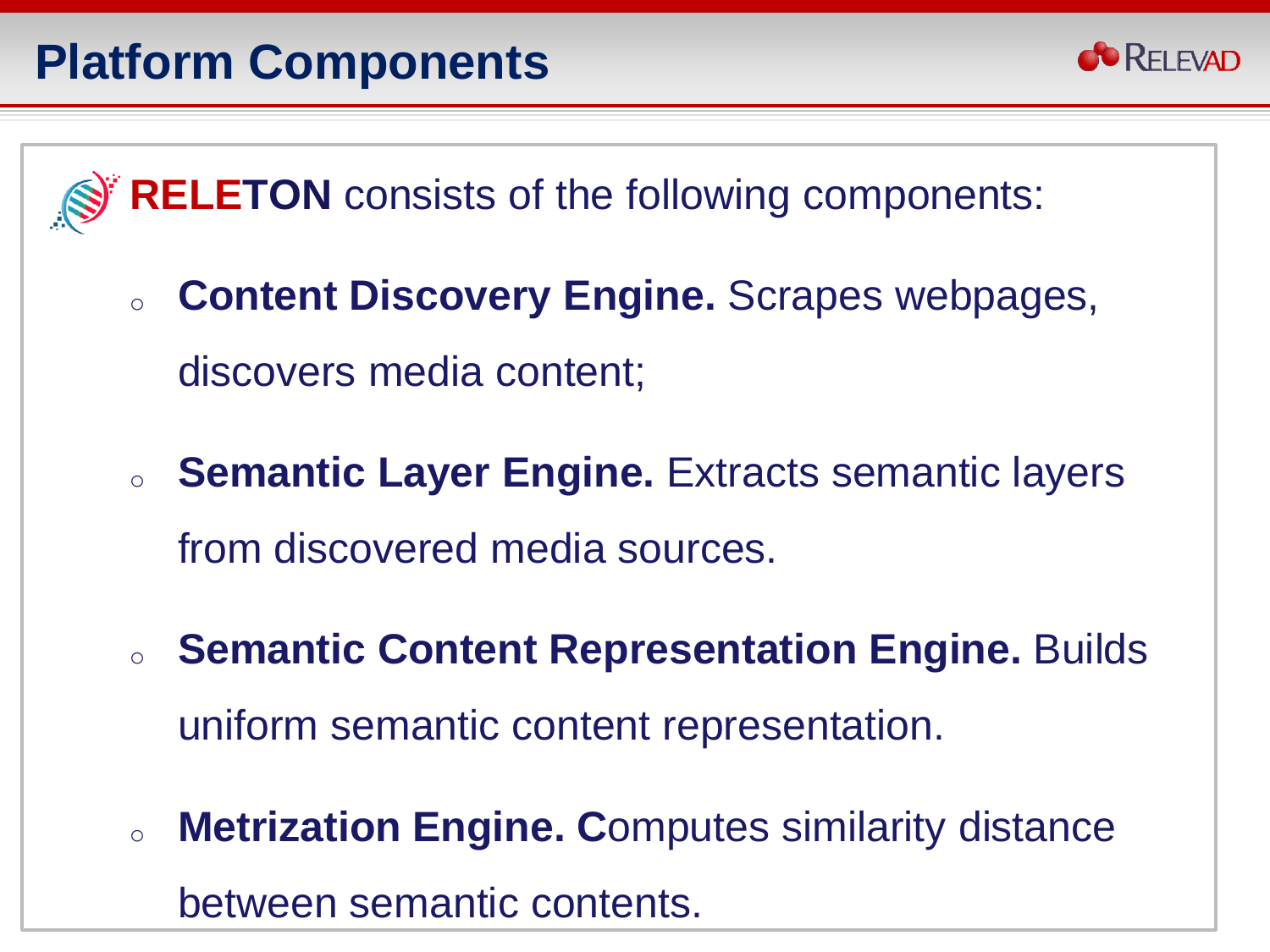

**RELETON** consists of the following components:

- <sup>o</sup> **Content Discovery Engine.** Scrapes webpages, discovers media content;
- <sup>o</sup> **Semantic Layer Engine.** Extracts semantic layers from discovered media sources.
- <sup>o</sup> **Semantic Content Representation Engine.** Builds uniform semantic content representation.
- <sup>o</sup> **Metrization Engine. C**omputes similarity distance between semantic contents.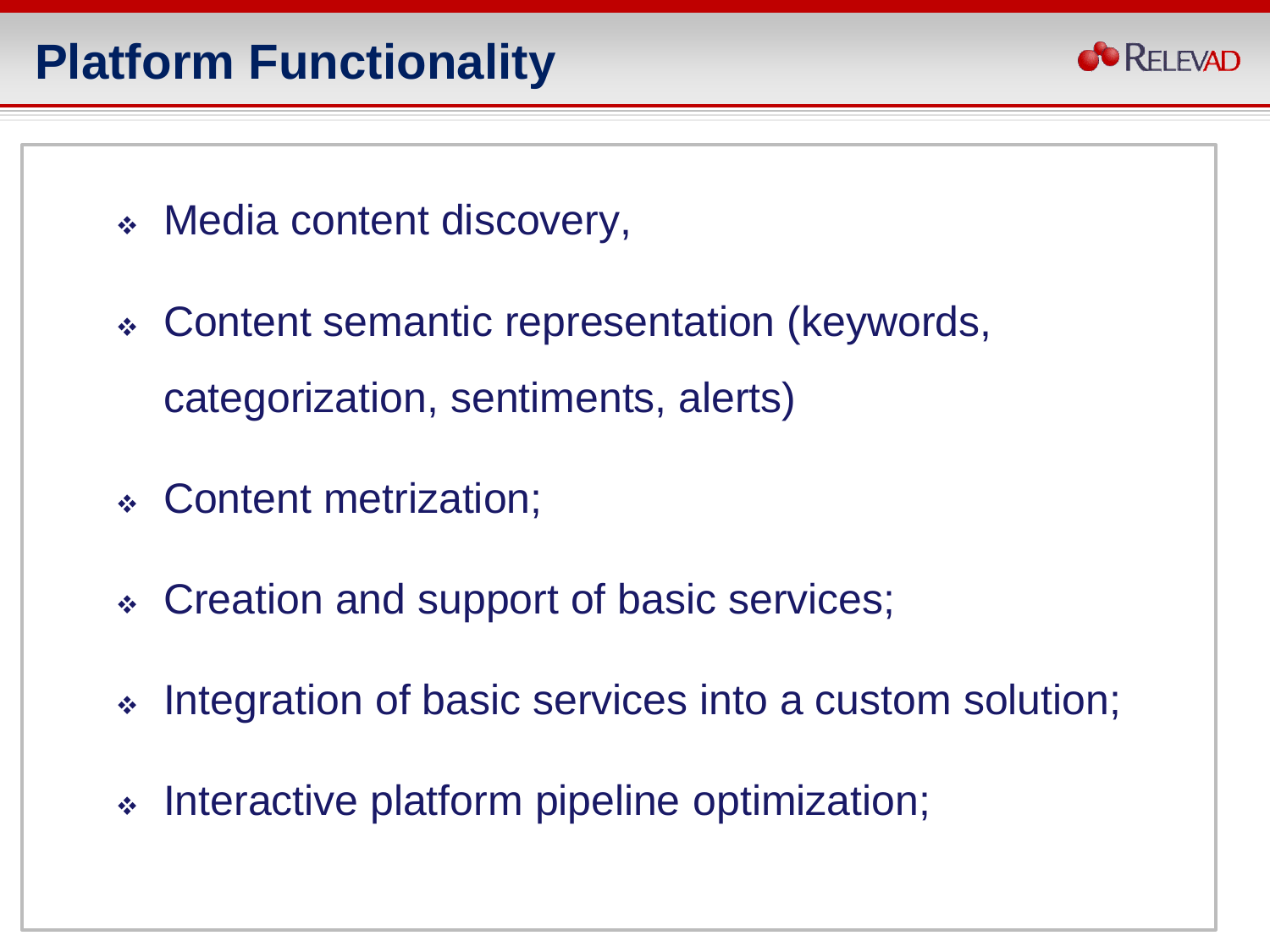

- Media content discovery,
- Content semantic representation (keywords, categorization, sentiments, alerts)
- Content metrization;
- Creation and support of basic services;
- Integration of basic services into a custom solution;
- Interactive platform pipeline optimization;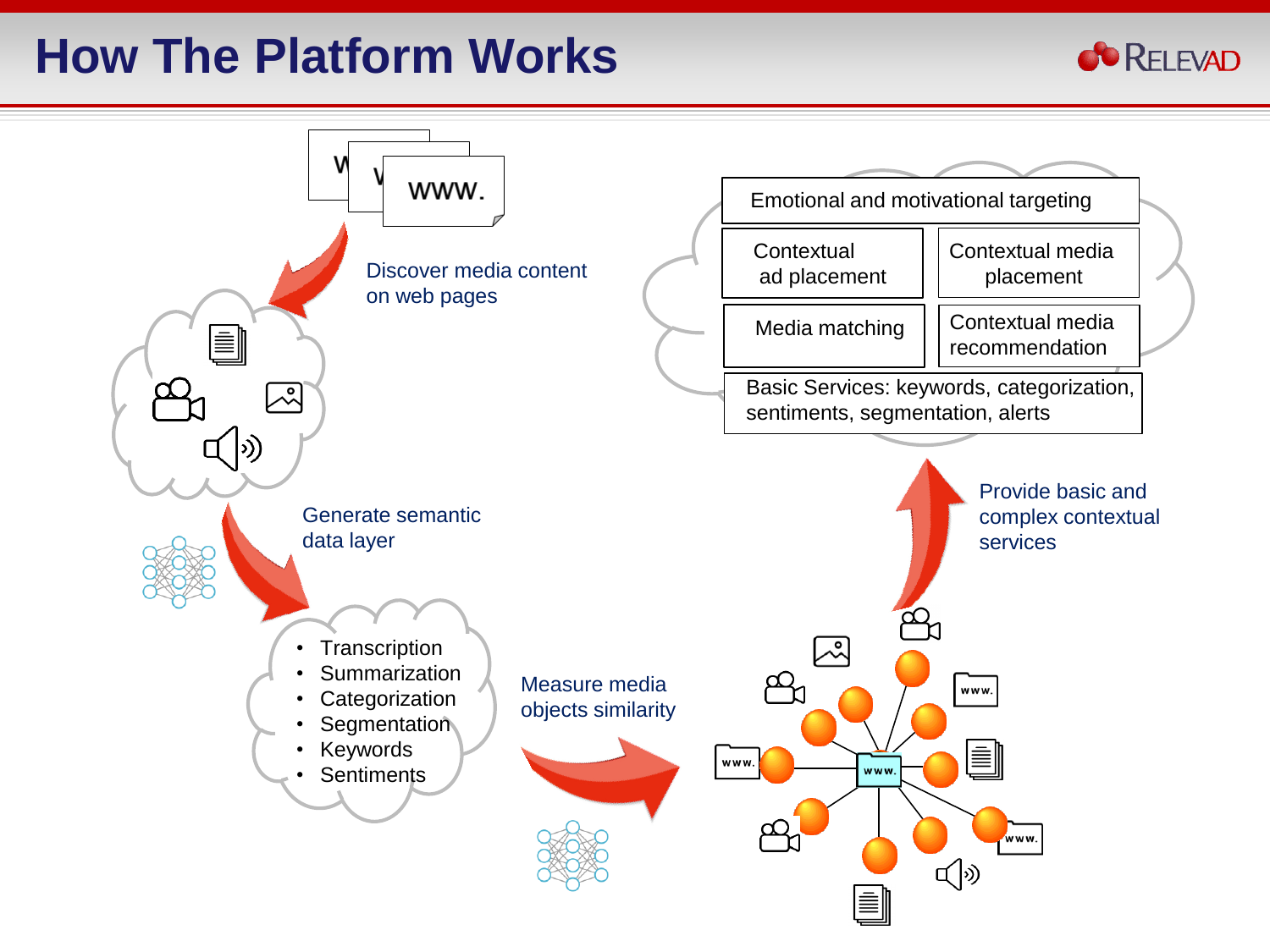## **How The Platform Works**



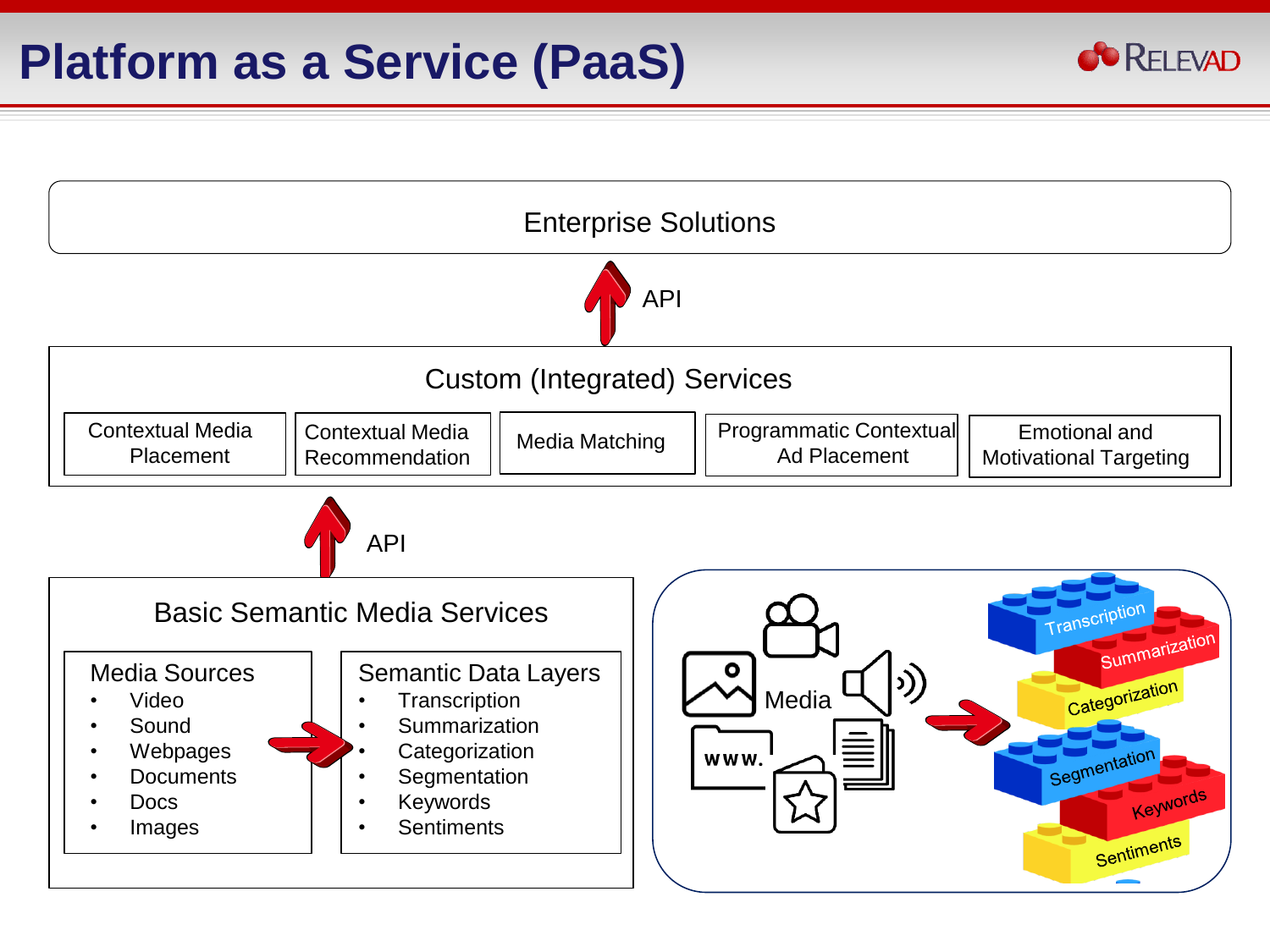

**CO** RELEVAD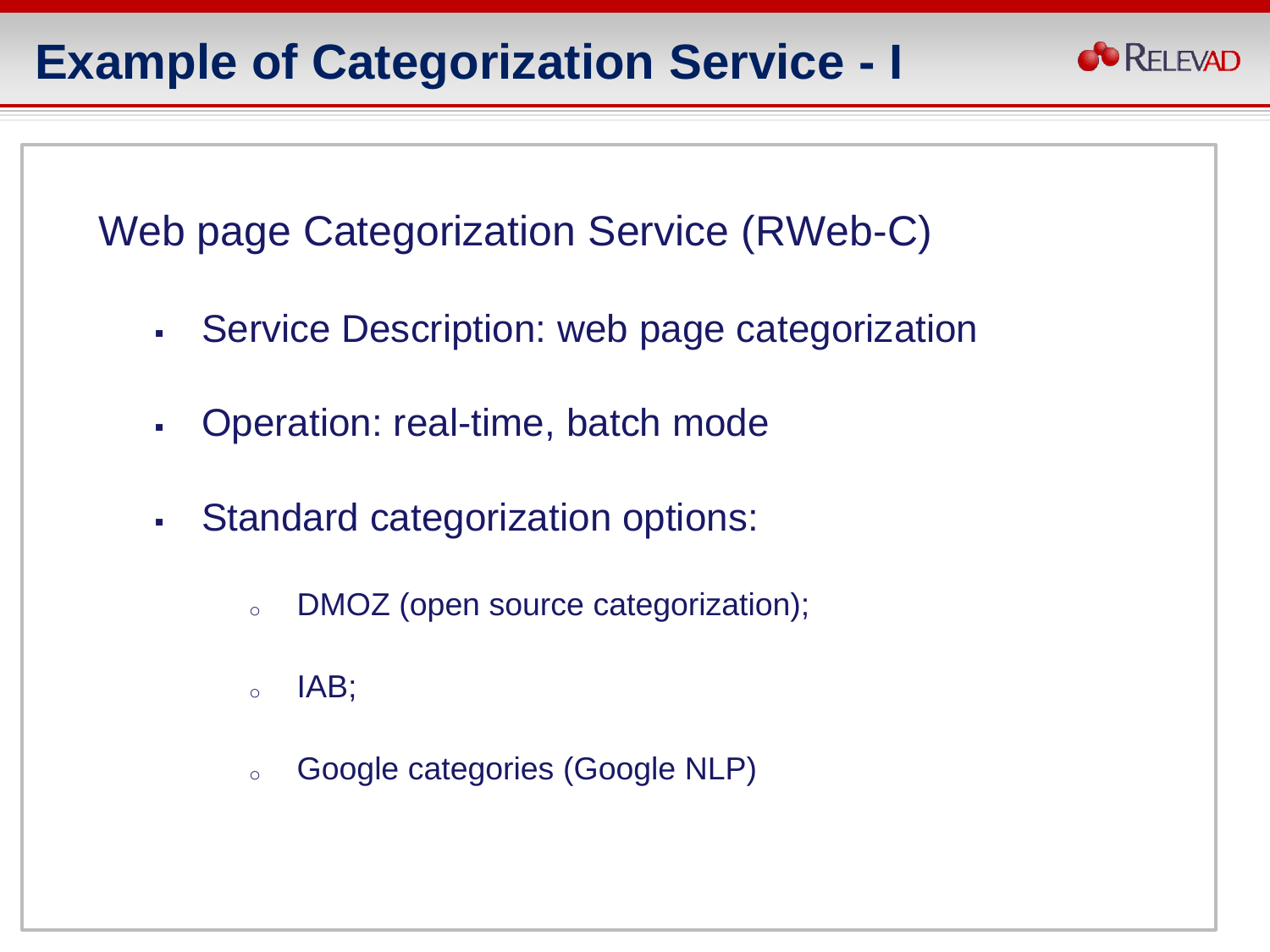#### **Example of Categorization Service - I**



Web page Categorization Service (RWeb-C)

- Service Description: web page categorization
- Operation: real-time, batch mode
- Standard categorization options:
	- <sup>o</sup> DMOZ (open source categorization);
	- $\circ$  IAB;
	- <sup>o</sup> Google categories (Google NLP)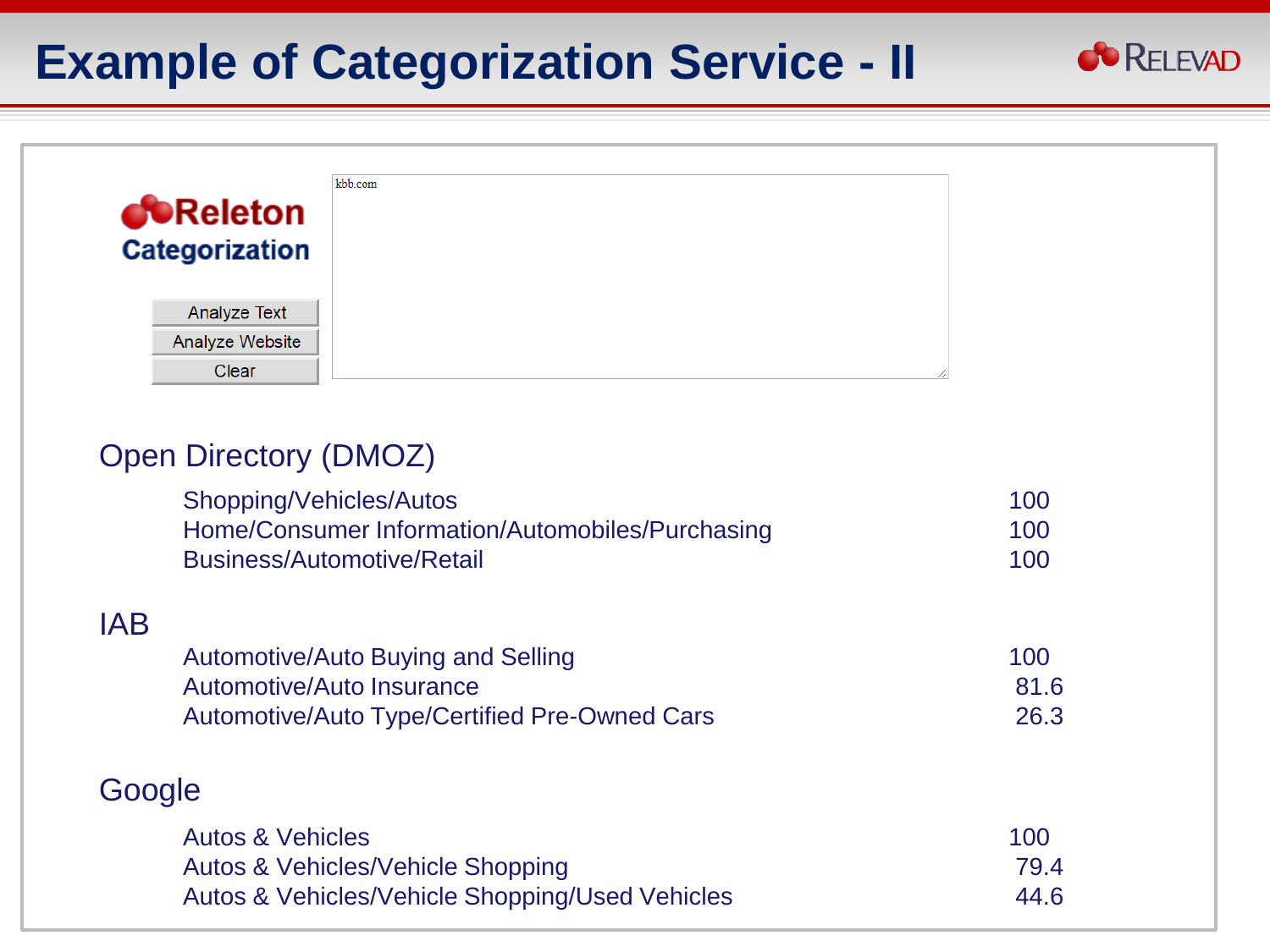#### **Example of Categorization Service - II**



#### Open Directory (DMOZ)

| Shopping/Vehicles/Autos<br>Home/Consumer Information/Automobiles/Purchasing<br><b>Business/Automotive/Retail</b> | 100<br>100<br>100 |
|------------------------------------------------------------------------------------------------------------------|-------------------|
| <b>IAB</b>                                                                                                       |                   |
| Automotive/Auto Buying and Selling                                                                               | 100               |
| Automotive/Auto Insurance                                                                                        | 81.6              |
| <b>Automotive/Auto Type/Certified Pre-Owned Cars</b>                                                             | 26.3              |
| Google                                                                                                           |                   |
| <b>Autos &amp; Vehicles</b>                                                                                      | 100               |
| <b>Autos &amp; Vehicles/Vehicle Shopping</b>                                                                     | 79.4              |
| <b>Autos &amp; Vehicles/Vehicle Shopping/Used Vehicles</b>                                                       | 44.6              |